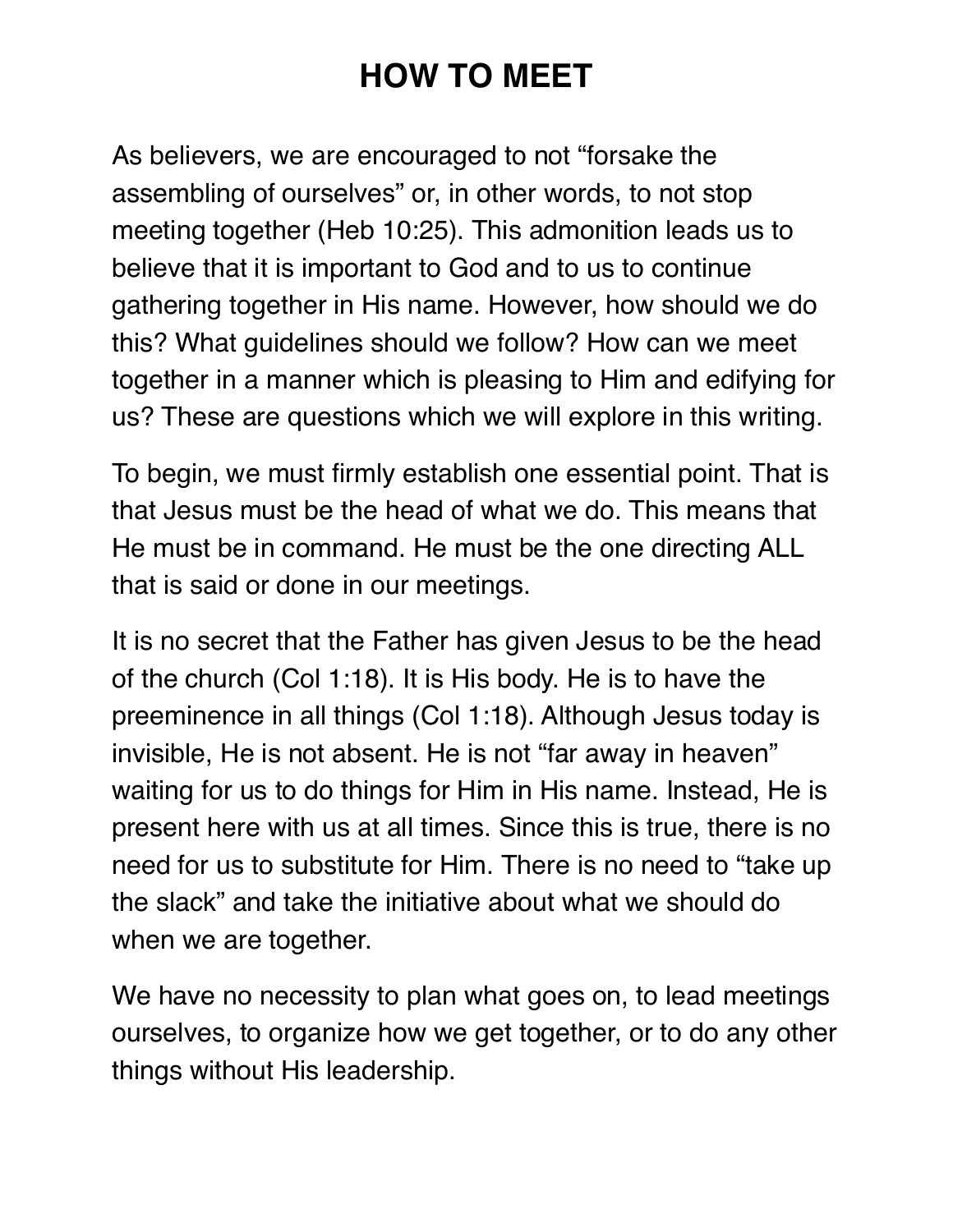# **HOW TO MEET**

As believers, we are encouraged to not "forsake the assembling of ourselves" or, in other words, to not stop meeting together (Heb 10:25). This admonition leads us to believe that it is important to God and to us to continue gathering together in His name. However, how should we do this? What guidelines should we follow? How can we meet together in a manner which is pleasing to Him and edifying for us? These are questions which we will explore in this writing.

To begin, we must firmly establish one essential point. That is that Jesus must be the head of what we do. This means that He must be in command. He must be the one directing ALL that is said or done in our meetings.

It is no secret that the Father has given Jesus to be the head of the church (Col 1:18). It is His body. He is to have the preeminence in all things (Col 1:18). Although Jesus today is invisible, He is not absent. He is not "far away in heaven" waiting for us to do things for Him in His name. Instead, He is present here with us at all times. Since this is true, there is no need for us to substitute for Him. There is no need to "take up the slack" and take the initiative about what we should do when we are together.

We have no necessity to plan what goes on, to lead meetings ourselves, to organize how we get together, or to do any other things without His leadership.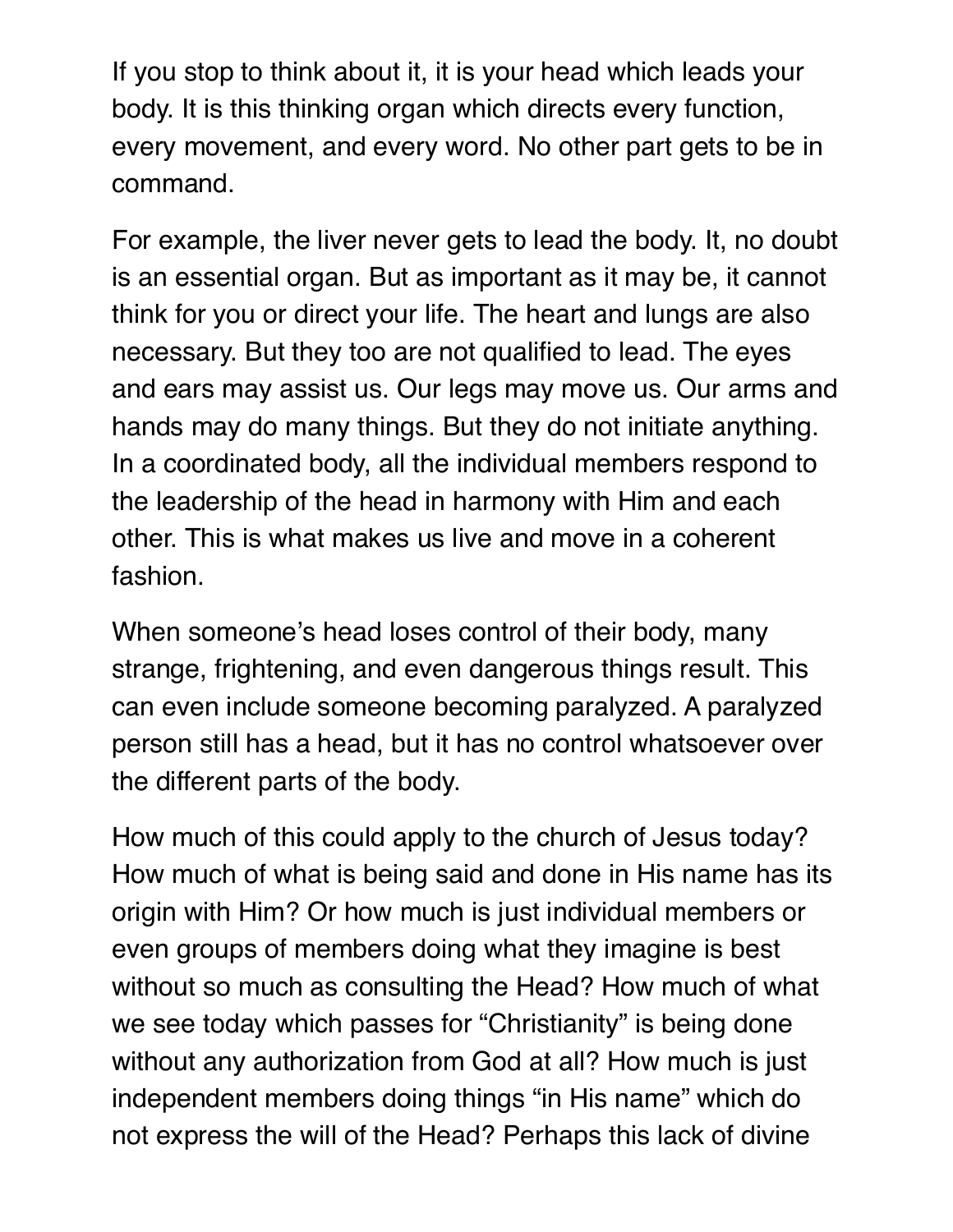If you stop to think about it, it is your head which leads your body. It is this thinking organ which directs every function, every movement, and every word. No other part gets to be in command.

For example, the liver never gets to lead the body. It, no doubt is an essential organ. But as important as it may be, it cannot think for you or direct your life. The heart and lungs are also necessary. But they too are not qualified to lead. The eyes and ears may assist us. Our legs may move us. Our arms and hands may do many things. But they do not initiate anything. In a coordinated body, all the individual members respond to the leadership of the head in harmony with Him and each other. This is what makes us live and move in a coherent fashion.

When someone's head loses control of their body, many strange, frightening, and even dangerous things result. This can even include someone becoming paralyzed. A paralyzed person still has a head, but it has no control whatsoever over the different parts of the body.

How much of this could apply to the church of Jesus today? How much of what is being said and done in His name has its origin with Him? Or how much is just individual members or even groups of members doing what they imagine is best without so much as consulting the Head? How much of what we see today which passes for "Christianity" is being done without any authorization from God at all? How much is just independent members doing things "in His name" which do not express the will of the Head? Perhaps this lack of divine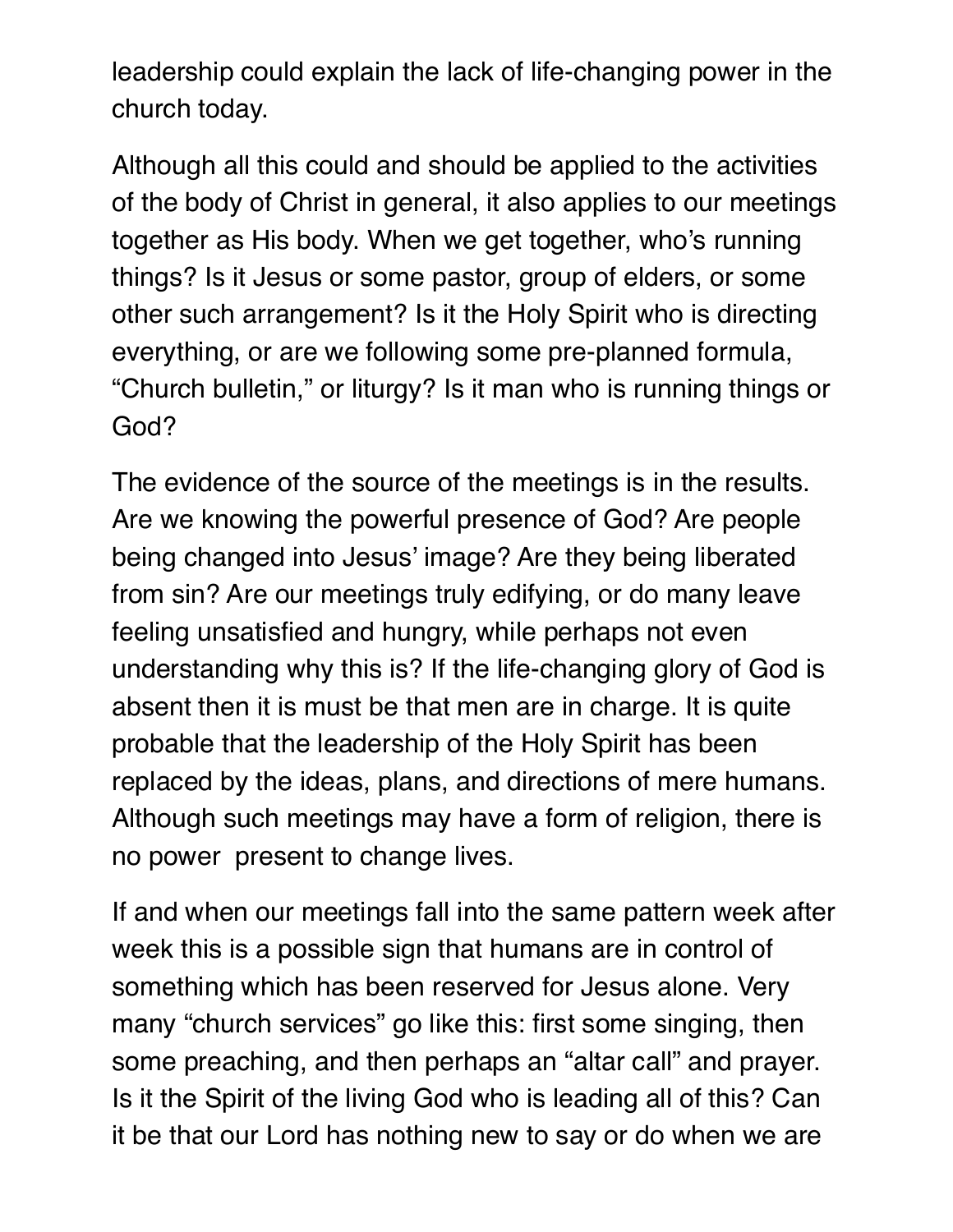leadership could explain the lack of life-changing power in the church today.

Although all this could and should be applied to the activities of the body of Christ in general, it also applies to our meetings together as His body. When we get together, who's running things? Is it Jesus or some pastor, group of elders, or some other such arrangement? Is it the Holy Spirit who is directing everything, or are we following some pre-planned formula, "Church bulletin," or liturgy? Is it man who is running things or God?

The evidence of the source of the meetings is in the results. Are we knowing the powerful presence of God? Are people being changed into Jesus' image? Are they being liberated from sin? Are our meetings truly edifying, or do many leave feeling unsatisfied and hungry, while perhaps not even understanding why this is? If the life-changing glory of God is absent then it is must be that men are in charge. It is quite probable that the leadership of the Holy Spirit has been replaced by the ideas, plans, and directions of mere humans. Although such meetings may have a form of religion, there is no power present to change lives.

If and when our meetings fall into the same pattern week after week this is a possible sign that humans are in control of something which has been reserved for Jesus alone. Very many "church services" go like this: first some singing, then some preaching, and then perhaps an "altar call" and prayer. Is it the Spirit of the living God who is leading all of this? Can it be that our Lord has nothing new to say or do when we are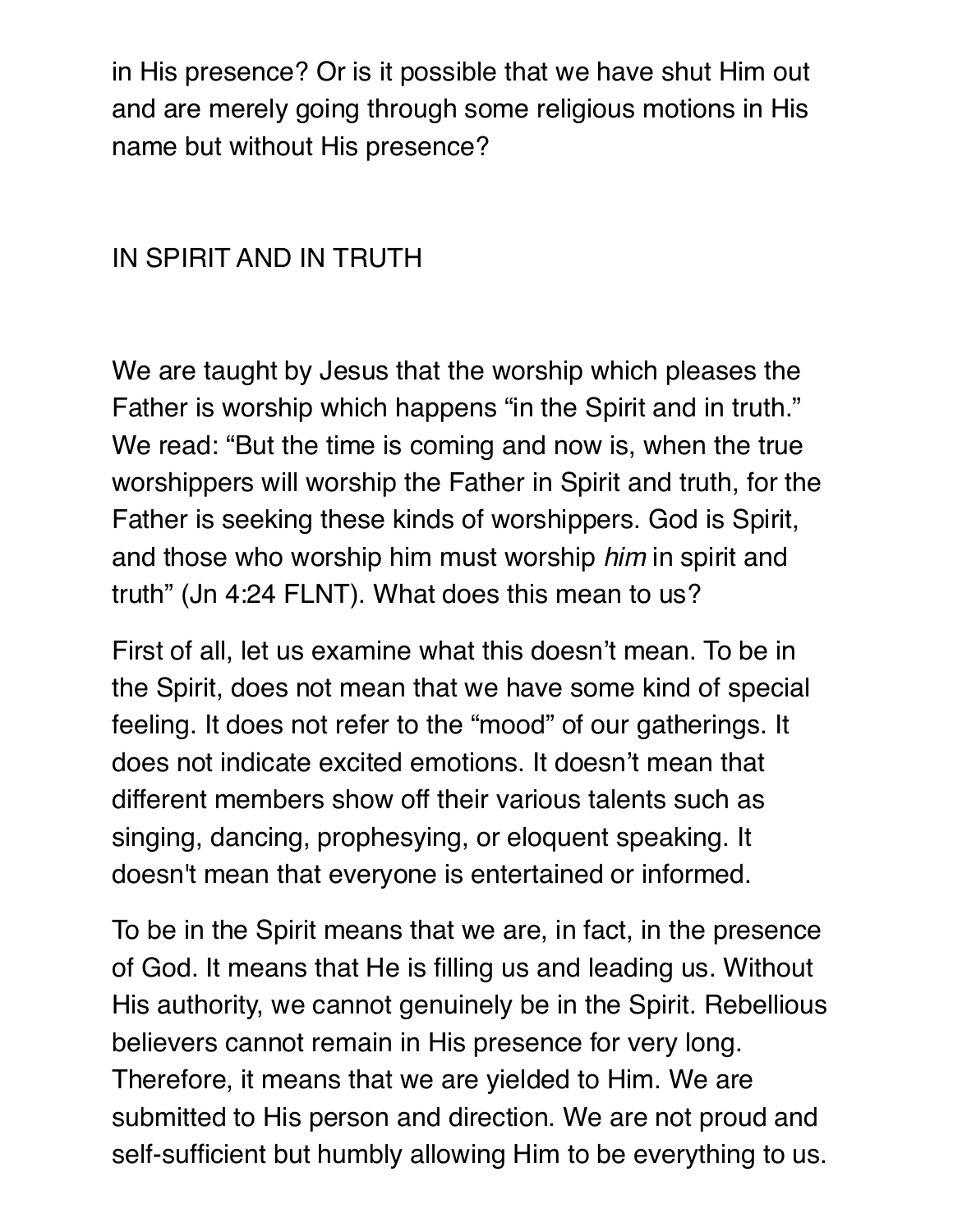in His presence? Or is it possible that we have shut Him out and are merely going through some religious motions in His name but without His presence?

## IN SPIRIT AND IN TRUTH

We are taught by Jesus that the worship which pleases the Father is worship which happens "in the Spirit and in truth." We read: "But the time is coming and now is, when the true worshippers will worship the Father in Spirit and truth, for the Father is seeking these kinds of worshippers. God is Spirit, and those who worship him must worship *him* in spirit and truth" (Jn 4:24 FLNT). What does this mean to us?

First of all, let us examine what this doesn't mean. To be in the Spirit, does not mean that we have some kind of special feeling. It does not refer to the "mood" of our gatherings. It does not indicate excited emotions. It doesn't mean that different members show off their various talents such as singing, dancing, prophesying, or eloquent speaking. It doesn't mean that everyone is entertained or informed.

To be in the Spirit means that we are, in fact, in the presence of God. It means that He is filling us and leading us. Without His authority, we cannot genuinely be in the Spirit. Rebellious believers cannot remain in His presence for very long. Therefore, it means that we are yielded to Him. We are submitted to His person and direction. We are not proud and self-sufficient but humbly allowing Him to be everything to us.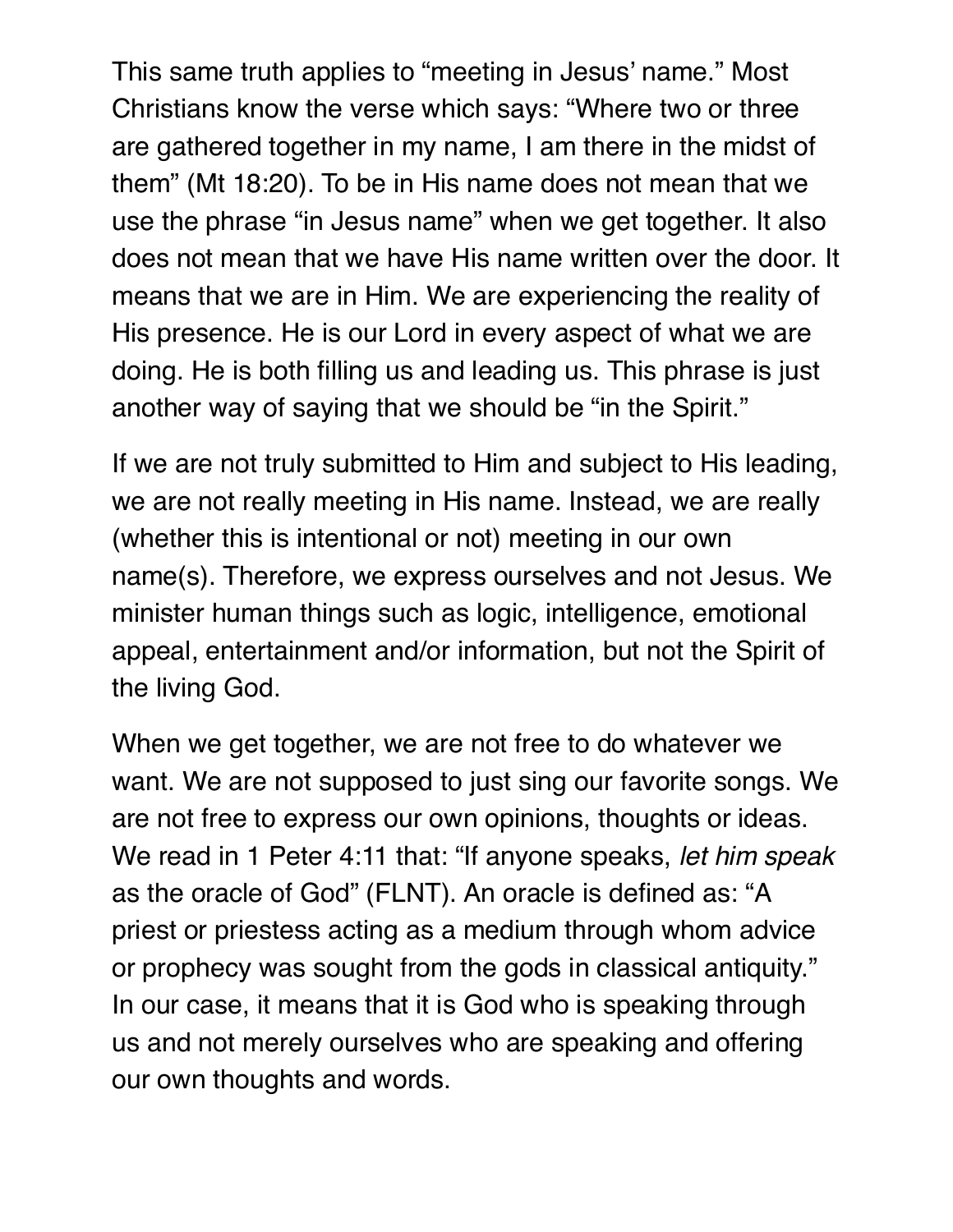This same truth applies to "meeting in Jesus' name." Most Christians know the verse which says: "Where two or three are gathered together in my name, I am there in the midst of them" (Mt 18:20). To be in His name does not mean that we use the phrase "in Jesus name" when we get together. It also does not mean that we have His name written over the door. It means that we are in Him. We are experiencing the reality of His presence. He is our Lord in every aspect of what we are doing. He is both filling us and leading us. This phrase is just another way of saying that we should be "in the Spirit."

If we are not truly submitted to Him and subject to His leading, we are not really meeting in His name. Instead, we are really (whether this is intentional or not) meeting in our own name(s). Therefore, we express ourselves and not Jesus. We minister human things such as logic, intelligence, emotional appeal, entertainment and/or information, but not the Spirit of the living God.

When we get together, we are not free to do whatever we want. We are not supposed to just sing our favorite songs. We are not free to express our own opinions, thoughts or ideas. We read in 1 Peter 4:11 that: "If anyone speaks, *let him speak*  as the oracle of God" (FLNT). An oracle is defined as: "A priest or priestess acting as a medium through whom advice or prophecy was sought from the gods in classical antiquity." In our case, it means that it is God who is speaking through us and not merely ourselves who are speaking and offering our own thoughts and words.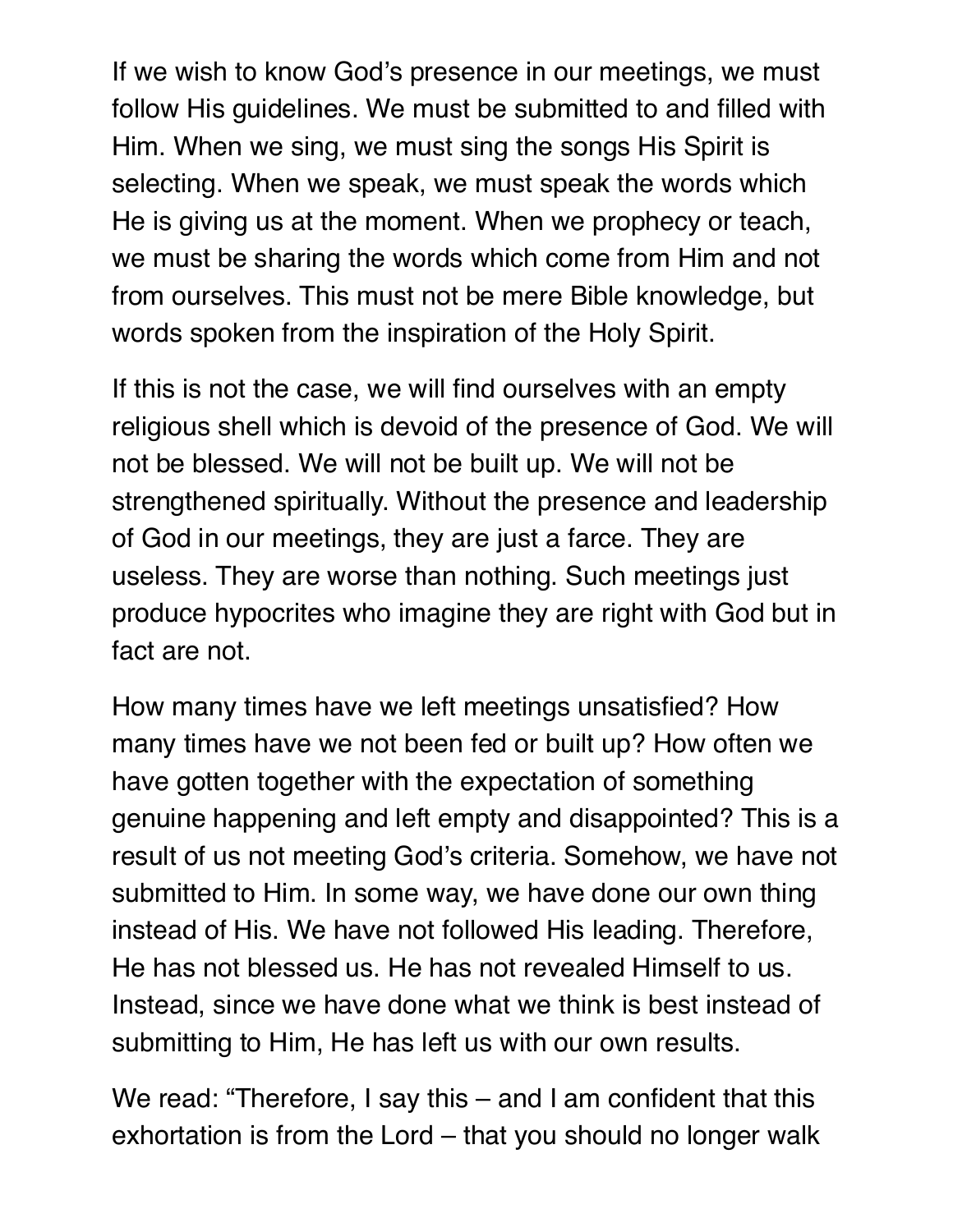If we wish to know God's presence in our meetings, we must follow His guidelines. We must be submitted to and filled with Him. When we sing, we must sing the songs His Spirit is selecting. When we speak, we must speak the words which He is giving us at the moment. When we prophecy or teach, we must be sharing the words which come from Him and not from ourselves. This must not be mere Bible knowledge, but words spoken from the inspiration of the Holy Spirit.

If this is not the case, we will find ourselves with an empty religious shell which is devoid of the presence of God. We will not be blessed. We will not be built up. We will not be strengthened spiritually. Without the presence and leadership of God in our meetings, they are just a farce. They are useless. They are worse than nothing. Such meetings just produce hypocrites who imagine they are right with God but in fact are not.

How many times have we left meetings unsatisfied? How many times have we not been fed or built up? How often we have gotten together with the expectation of something genuine happening and left empty and disappointed? This is a result of us not meeting God's criteria. Somehow, we have not submitted to Him. In some way, we have done our own thing instead of His. We have not followed His leading. Therefore, He has not blessed us. He has not revealed Himself to us. Instead, since we have done what we think is best instead of submitting to Him, He has left us with our own results.

We read: "Therefore, I say this – and I am confident that this exhortation is from the Lord – that you should no longer walk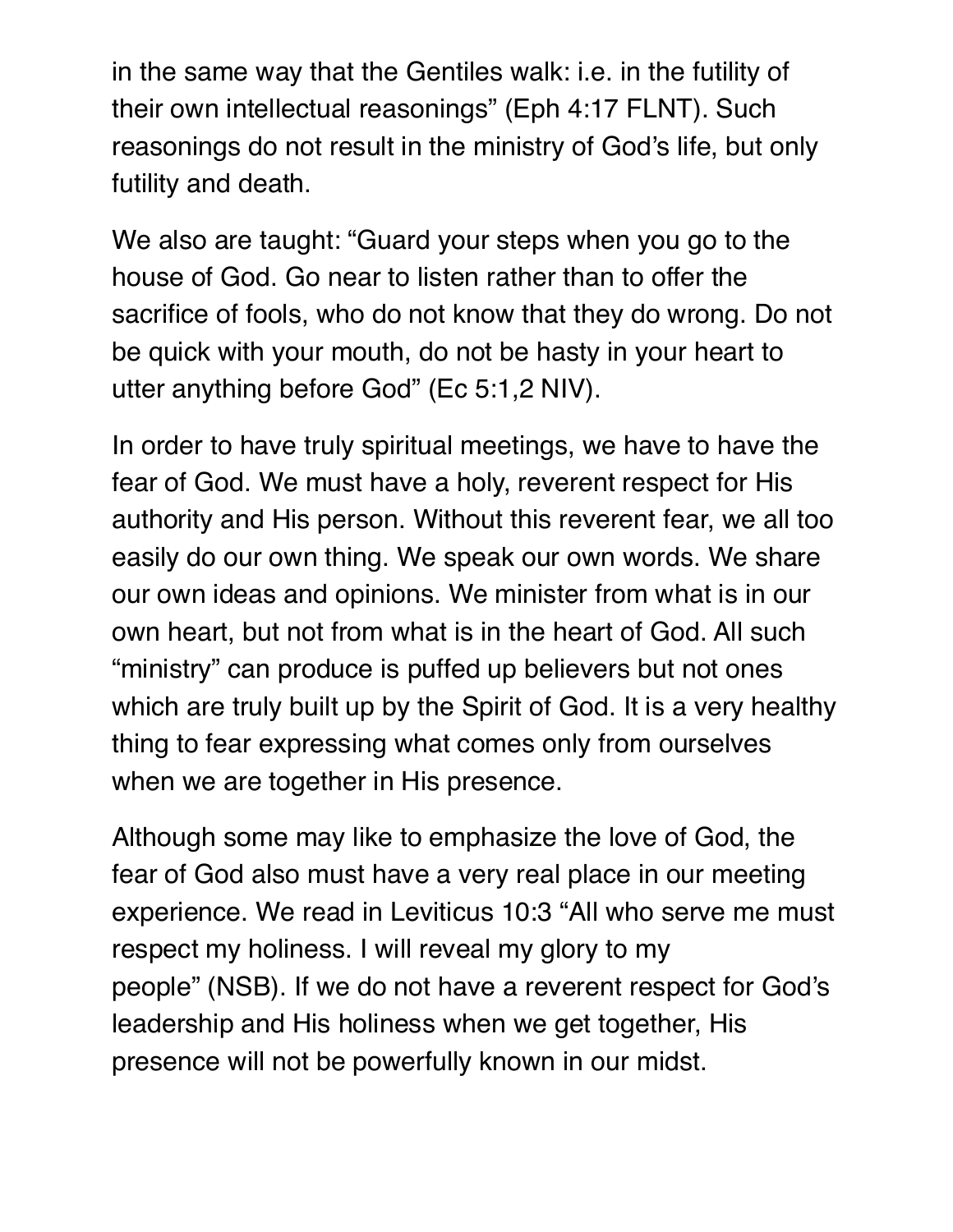in the same way that the Gentiles walk: i.e. in the futility of their own intellectual reasonings" (Eph 4:17 FLNT). Such reasonings do not result in the ministry of God's life, but only futility and death.

We also are taught: "Guard your steps when you go to the house of God. Go near to listen rather than to offer the sacrifice of fools, who do not know that they do wrong. Do not be quick with your mouth, do not be hasty in your heart to utter anything before God" (Ec 5:1,2 NIV).

In order to have truly spiritual meetings, we have to have the fear of God. We must have a holy, reverent respect for His authority and His person. Without this reverent fear, we all too easily do our own thing. We speak our own words. We share our own ideas and opinions. We minister from what is in our own heart, but not from what is in the heart of God. All such "ministry" can produce is puffed up believers but not ones which are truly built up by the Spirit of God. It is a very healthy thing to fear expressing what comes only from ourselves when we are together in His presence.

Although some may like to emphasize the love of God, the fear of God also must have a very real place in our meeting experience. We read in Leviticus 10:3 "All who serve me must respect my holiness. I will reveal my glory to my people" (NSB). If we do not have a reverent respect for God's leadership and His holiness when we get together, His presence will not be powerfully known in our midst.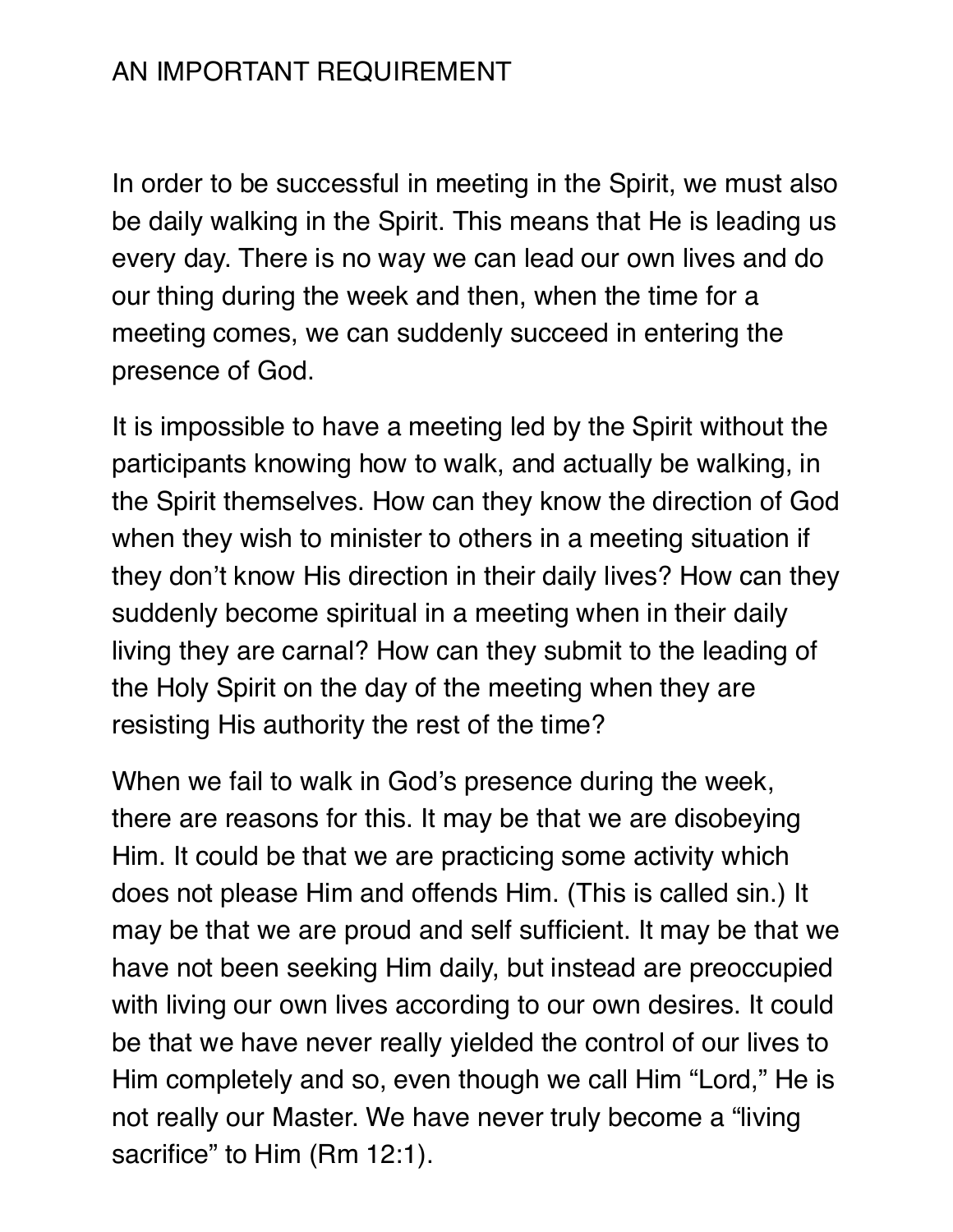## AN IMPORTANT REQUIREMENT

In order to be successful in meeting in the Spirit, we must also be daily walking in the Spirit. This means that He is leading us every day. There is no way we can lead our own lives and do our thing during the week and then, when the time for a meeting comes, we can suddenly succeed in entering the presence of God.

It is impossible to have a meeting led by the Spirit without the participants knowing how to walk, and actually be walking, in the Spirit themselves. How can they know the direction of God when they wish to minister to others in a meeting situation if they don't know His direction in their daily lives? How can they suddenly become spiritual in a meeting when in their daily living they are carnal? How can they submit to the leading of the Holy Spirit on the day of the meeting when they are resisting His authority the rest of the time?

When we fail to walk in God's presence during the week, there are reasons for this. It may be that we are disobeying Him. It could be that we are practicing some activity which does not please Him and offends Him. (This is called sin.) It may be that we are proud and self sufficient. It may be that we have not been seeking Him daily, but instead are preoccupied with living our own lives according to our own desires. It could be that we have never really yielded the control of our lives to Him completely and so, even though we call Him "Lord," He is not really our Master. We have never truly become a "living sacrifice" to Him (Rm 12:1).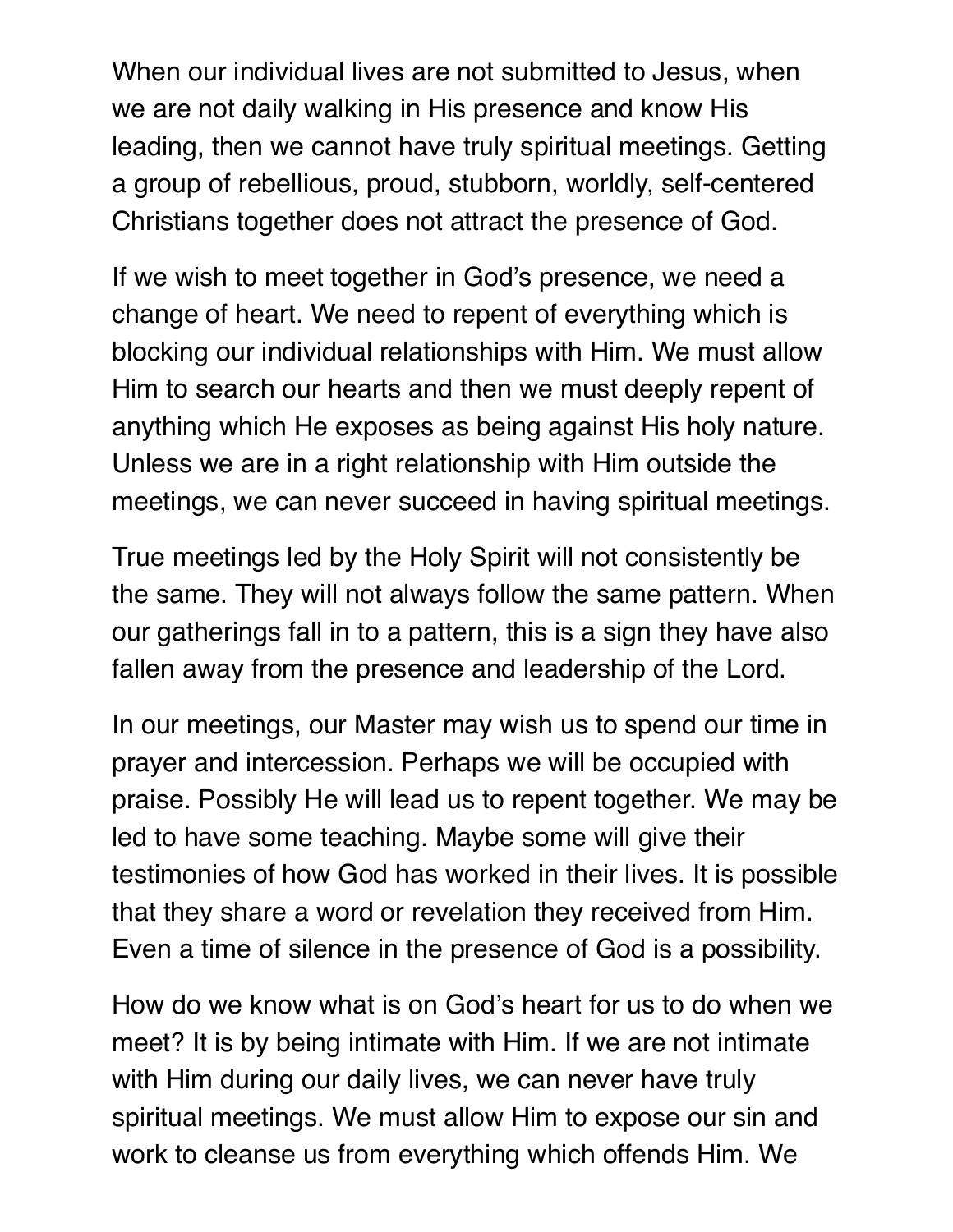When our individual lives are not submitted to Jesus, when we are not daily walking in His presence and know His leading, then we cannot have truly spiritual meetings. Getting a group of rebellious, proud, stubborn, worldly, self-centered Christians together does not attract the presence of God.

If we wish to meet together in God's presence, we need a change of heart. We need to repent of everything which is blocking our individual relationships with Him. We must allow Him to search our hearts and then we must deeply repent of anything which He exposes as being against His holy nature. Unless we are in a right relationship with Him outside the meetings, we can never succeed in having spiritual meetings.

True meetings led by the Holy Spirit will not consistently be the same. They will not always follow the same pattern. When our gatherings fall in to a pattern, this is a sign they have also fallen away from the presence and leadership of the Lord.

In our meetings, our Master may wish us to spend our time in prayer and intercession. Perhaps we will be occupied with praise. Possibly He will lead us to repent together. We may be led to have some teaching. Maybe some will give their testimonies of how God has worked in their lives. It is possible that they share a word or revelation they received from Him. Even a time of silence in the presence of God is a possibility.

How do we know what is on God's heart for us to do when we meet? It is by being intimate with Him. If we are not intimate with Him during our daily lives, we can never have truly spiritual meetings. We must allow Him to expose our sin and work to cleanse us from everything which offends Him. We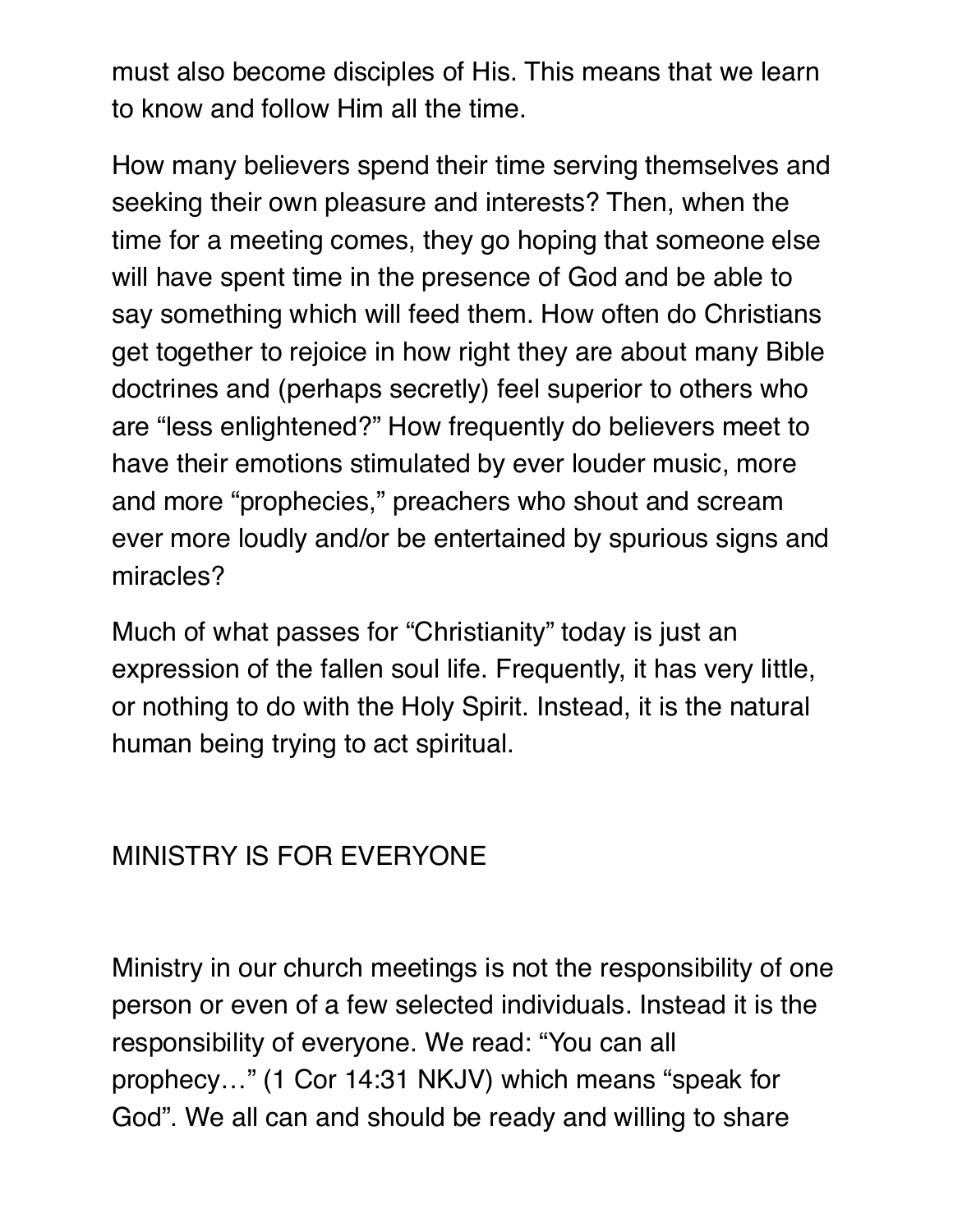must also become disciples of His. This means that we learn to know and follow Him all the time.

How many believers spend their time serving themselves and seeking their own pleasure and interests? Then, when the time for a meeting comes, they go hoping that someone else will have spent time in the presence of God and be able to say something which will feed them. How often do Christians get together to rejoice in how right they are about many Bible doctrines and (perhaps secretly) feel superior to others who are "less enlightened?" How frequently do believers meet to have their emotions stimulated by ever louder music, more and more "prophecies," preachers who shout and scream ever more loudly and/or be entertained by spurious signs and miracles?

Much of what passes for "Christianity" today is just an expression of the fallen soul life. Frequently, it has very little, or nothing to do with the Holy Spirit. Instead, it is the natural human being trying to act spiritual.

# MINISTRY IS FOR EVERYONE

Ministry in our church meetings is not the responsibility of one person or even of a few selected individuals. Instead it is the responsibility of everyone. We read: "You can all prophecy…" (1 Cor 14:31 NKJV) which means "speak for God". We all can and should be ready and willing to share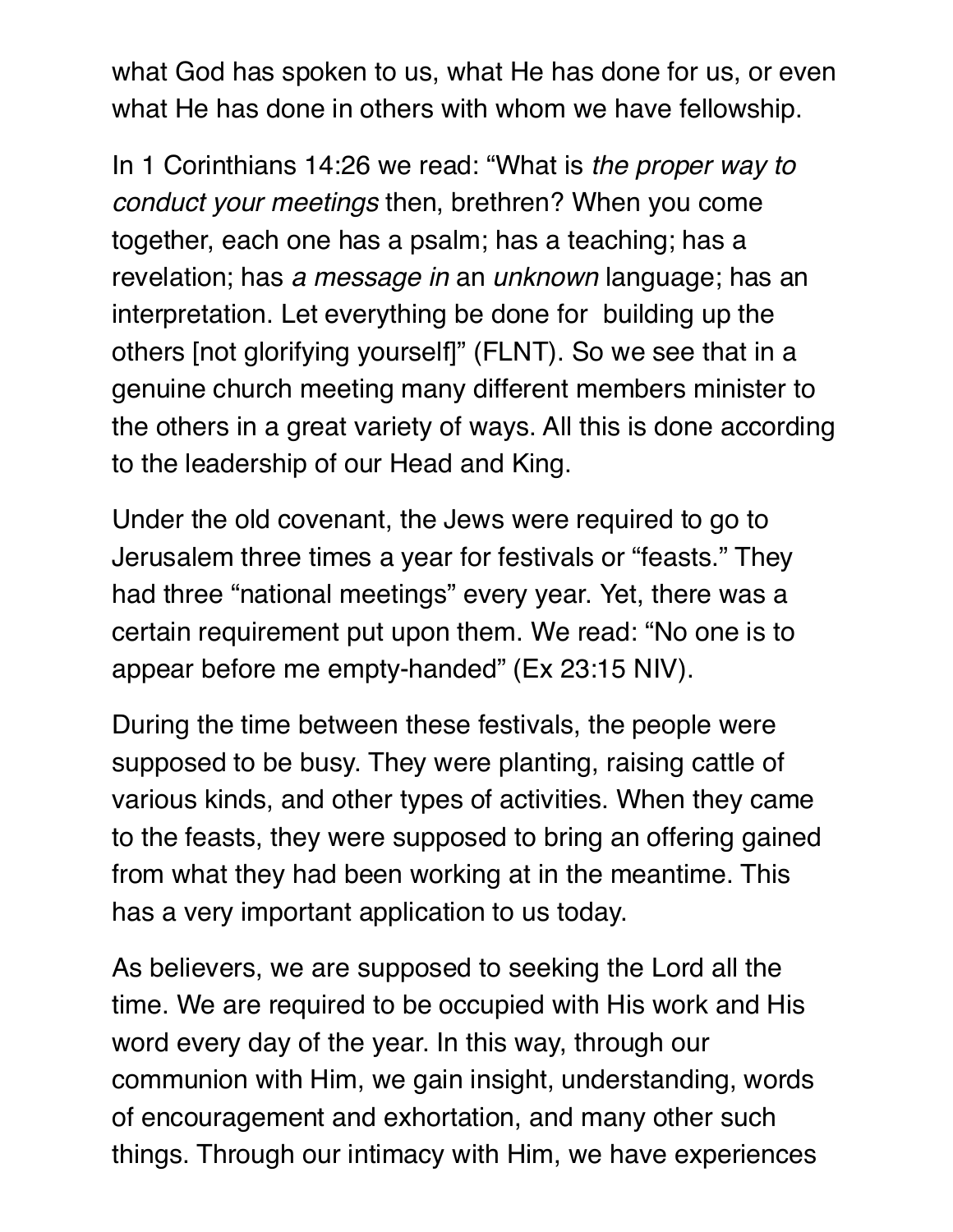what God has spoken to us, what He has done for us, or even what He has done in others with whom we have fellowship.

In 1 Corinthians 14:26 we read: "What is *the proper way to conduct your meetings* then, brethren? When you come together, each one has a psalm; has a teaching; has a revelation; has *a message in* an *unknown* language; has an interpretation. Let everything be done for building up the others [not glorifying yourself]" (FLNT). So we see that in a genuine church meeting many different members minister to the others in a great variety of ways. All this is done according to the leadership of our Head and King.

Under the old covenant, the Jews were required to go to Jerusalem three times a year for festivals or "feasts." They had three "national meetings" every year. Yet, there was a certain requirement put upon them. We read: "No one is to appear before me empty-handed" (Ex 23:15 NIV).

During the time between these festivals, the people were supposed to be busy. They were planting, raising cattle of various kinds, and other types of activities. When they came to the feasts, they were supposed to bring an offering gained from what they had been working at in the meantime. This has a very important application to us today.

As believers, we are supposed to seeking the Lord all the time. We are required to be occupied with His work and His word every day of the year. In this way, through our communion with Him, we gain insight, understanding, words of encouragement and exhortation, and many other such things. Through our intimacy with Him, we have experiences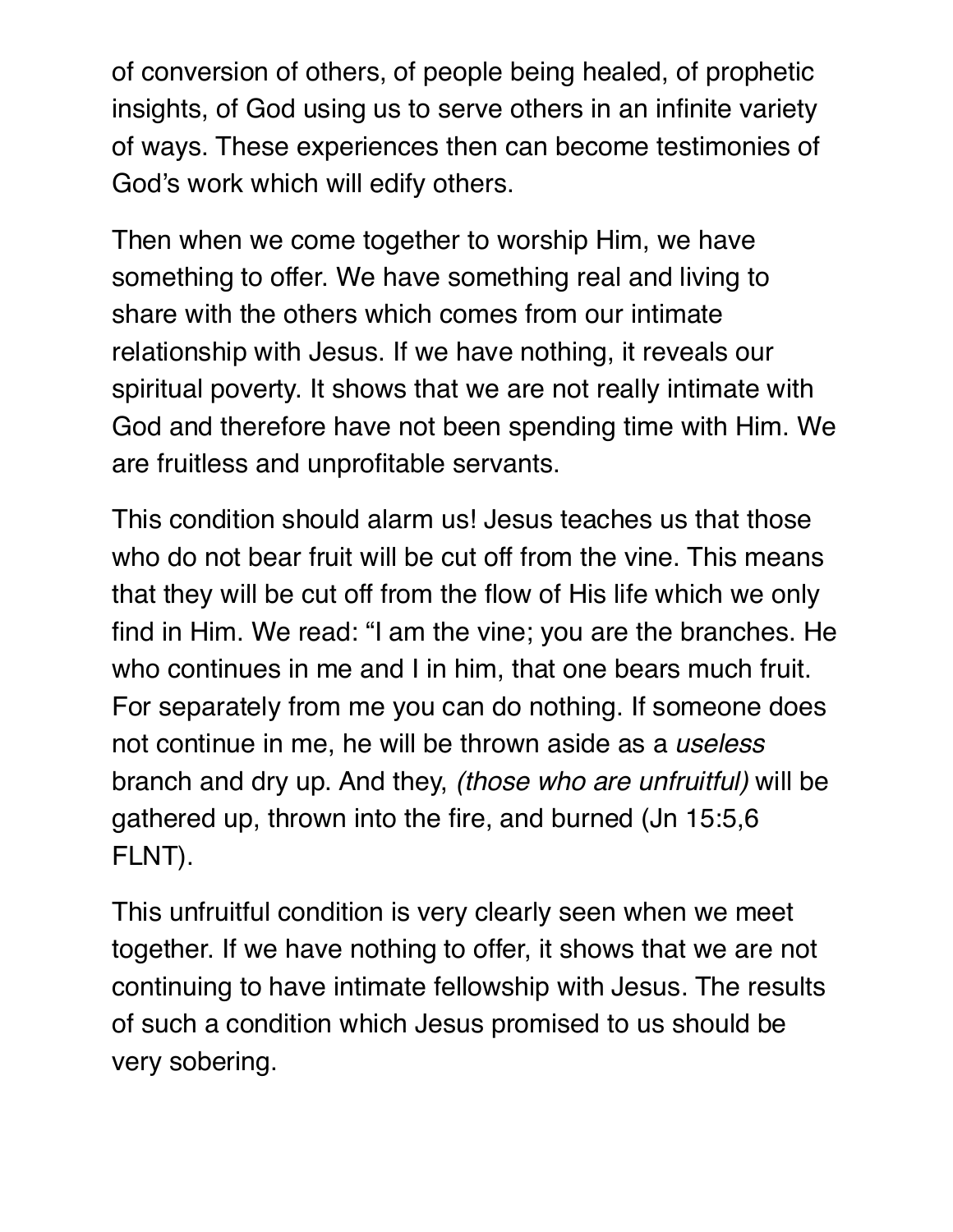of conversion of others, of people being healed, of prophetic insights, of God using us to serve others in an infinite variety of ways. These experiences then can become testimonies of God's work which will edify others.

Then when we come together to worship Him, we have something to offer. We have something real and living to share with the others which comes from our intimate relationship with Jesus. If we have nothing, it reveals our spiritual poverty. It shows that we are not really intimate with God and therefore have not been spending time with Him. We are fruitless and unprofitable servants.

This condition should alarm us! Jesus teaches us that those who do not bear fruit will be cut off from the vine. This means that they will be cut off from the flow of His life which we only find in Him. We read: "I am the vine; you are the branches. He who continues in me and I in him, that one bears much fruit. For separately from me you can do nothing. If someone does not continue in me, he will be thrown aside as a *useless* branch and dry up. And they, *(those who are unfruitful)* will be gathered up, thrown into the fire, and burned (Jn 15:5,6 FLNT).

This unfruitful condition is very clearly seen when we meet together. If we have nothing to offer, it shows that we are not continuing to have intimate fellowship with Jesus. The results of such a condition which Jesus promised to us should be very sobering.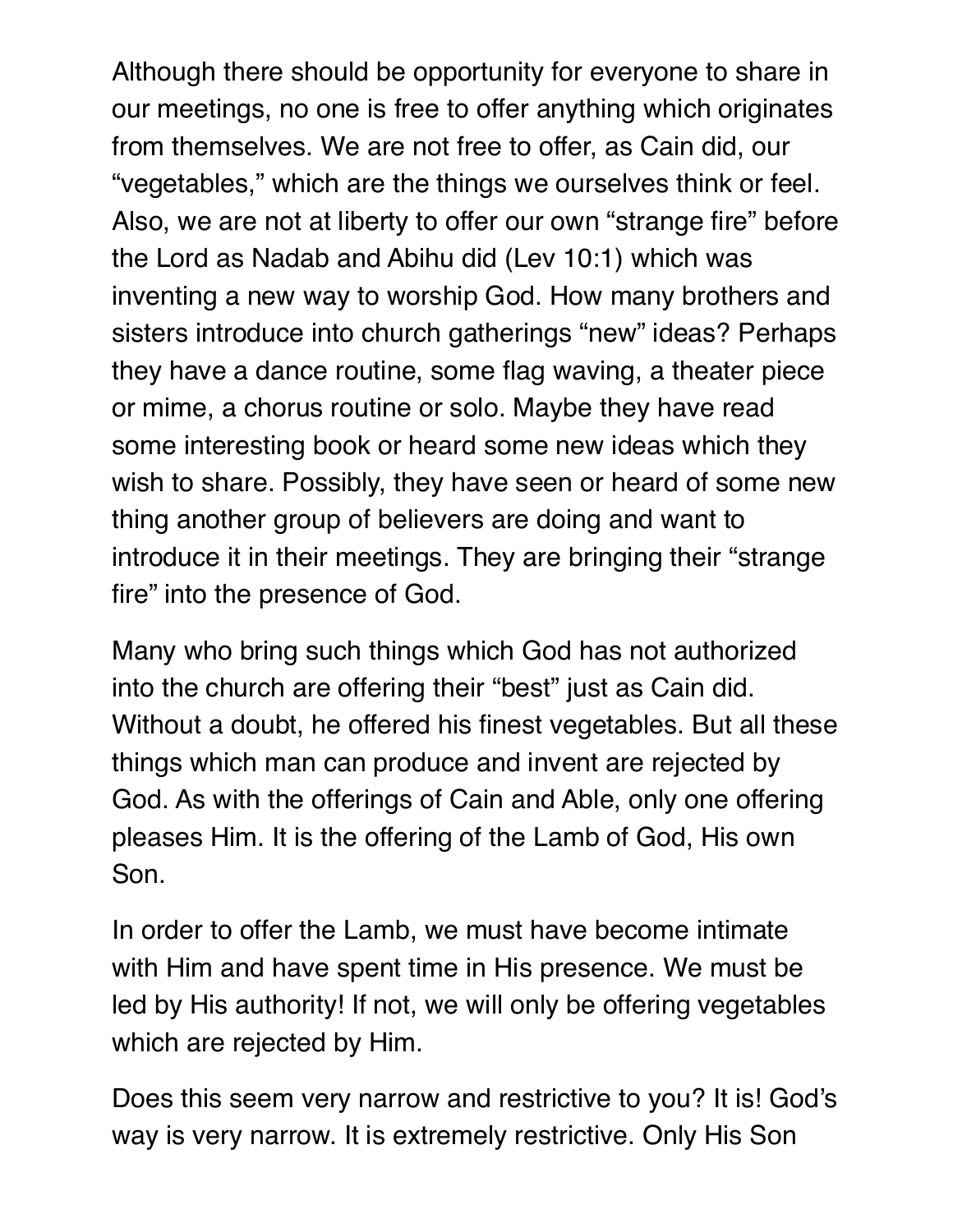Although there should be opportunity for everyone to share in our meetings, no one is free to offer anything which originates from themselves. We are not free to offer, as Cain did, our "vegetables," which are the things we ourselves think or feel. Also, we are not at liberty to offer our own "strange fire" before the Lord as Nadab and Abihu did (Lev 10:1) which was inventing a new way to worship God. How many brothers and sisters introduce into church gatherings "new" ideas? Perhaps they have a dance routine, some flag waving, a theater piece or mime, a chorus routine or solo. Maybe they have read some interesting book or heard some new ideas which they wish to share. Possibly, they have seen or heard of some new thing another group of believers are doing and want to introduce it in their meetings. They are bringing their "strange fire" into the presence of God.

Many who bring such things which God has not authorized into the church are offering their "best" just as Cain did. Without a doubt, he offered his finest vegetables. But all these things which man can produce and invent are rejected by God. As with the offerings of Cain and Able, only one offering pleases Him. It is the offering of the Lamb of God, His own Son.

In order to offer the Lamb, we must have become intimate with Him and have spent time in His presence. We must be led by His authority! If not, we will only be offering vegetables which are rejected by Him.

Does this seem very narrow and restrictive to you? It is! God's way is very narrow. It is extremely restrictive. Only His Son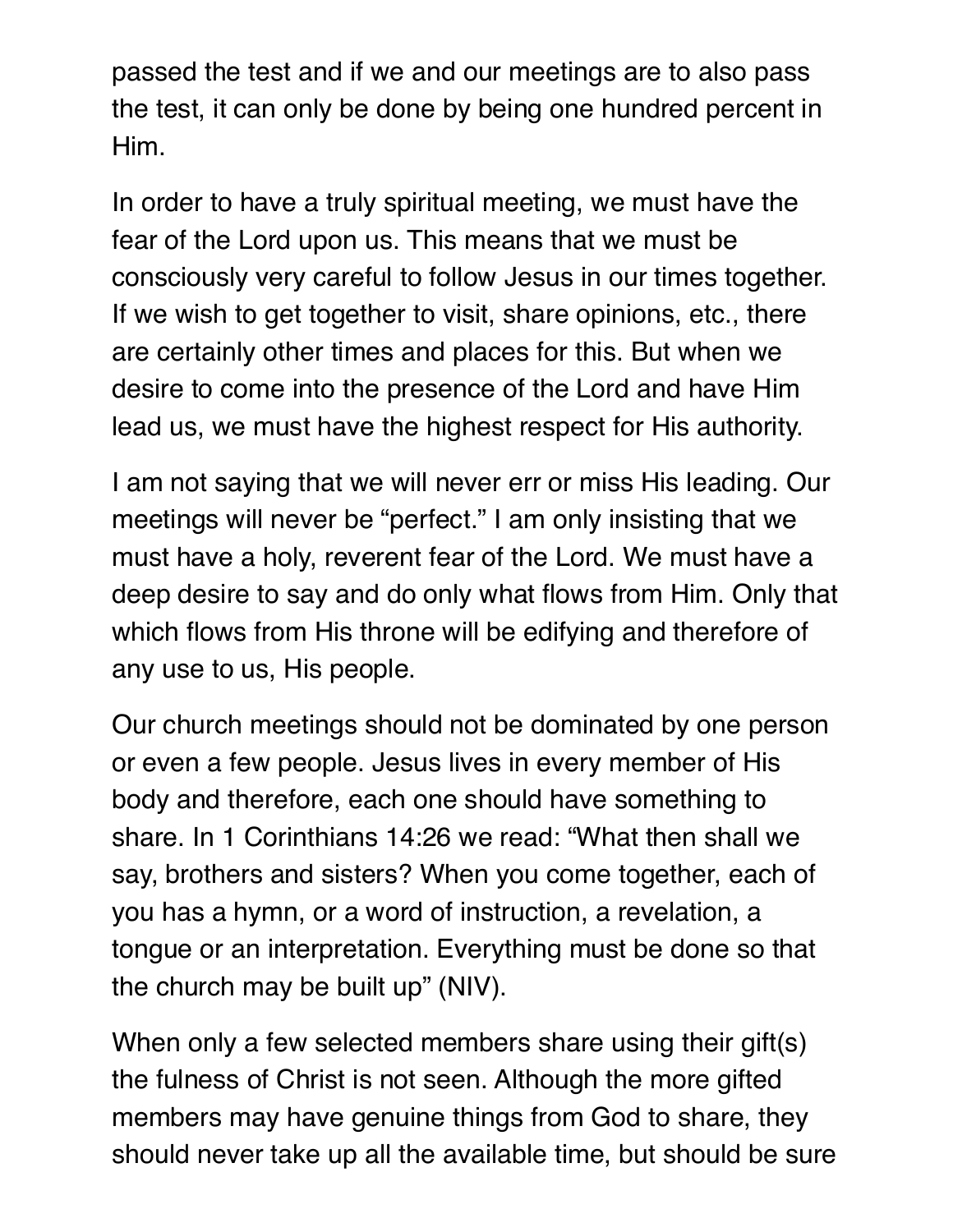passed the test and if we and our meetings are to also pass the test, it can only be done by being one hundred percent in Him.

In order to have a truly spiritual meeting, we must have the fear of the Lord upon us. This means that we must be consciously very careful to follow Jesus in our times together. If we wish to get together to visit, share opinions, etc., there are certainly other times and places for this. But when we desire to come into the presence of the Lord and have Him lead us, we must have the highest respect for His authority.

I am not saying that we will never err or miss His leading. Our meetings will never be "perfect." I am only insisting that we must have a holy, reverent fear of the Lord. We must have a deep desire to say and do only what flows from Him. Only that which flows from His throne will be edifying and therefore of any use to us, His people.

Our church meetings should not be dominated by one person or even a few people. Jesus lives in every member of His body and therefore, each one should have something to share. In 1 Corinthians 14:26 we read: "What then shall we say, brothers and sisters? When you come together, each of you has a hymn, or a word of instruction, a revelation, a tongue or an interpretation. Everything must be done so that the church may be built up" (NIV).

When only a few selected members share using their gift(s) the fulness of Christ is not seen. Although the more gifted members may have genuine things from God to share, they should never take up all the available time, but should be sure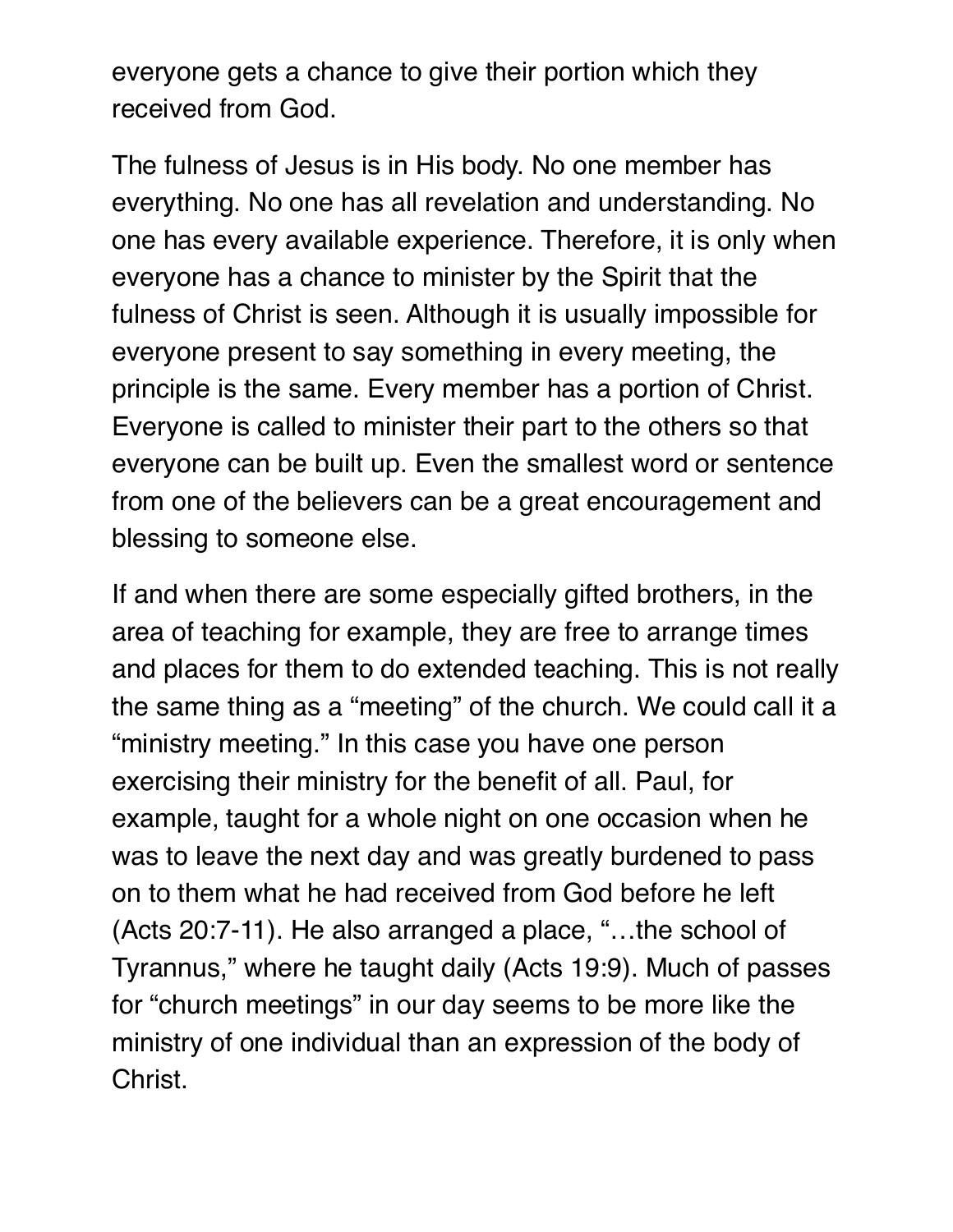everyone gets a chance to give their portion which they received from God.

The fulness of Jesus is in His body. No one member has everything. No one has all revelation and understanding. No one has every available experience. Therefore, it is only when everyone has a chance to minister by the Spirit that the fulness of Christ is seen. Although it is usually impossible for everyone present to say something in every meeting, the principle is the same. Every member has a portion of Christ. Everyone is called to minister their part to the others so that everyone can be built up. Even the smallest word or sentence from one of the believers can be a great encouragement and blessing to someone else.

If and when there are some especially gifted brothers, in the area of teaching for example, they are free to arrange times and places for them to do extended teaching. This is not really the same thing as a "meeting" of the church. We could call it a "ministry meeting." In this case you have one person exercising their ministry for the benefit of all. Paul, for example, taught for a whole night on one occasion when he was to leave the next day and was greatly burdened to pass on to them what he had received from God before he left (Acts 20:7-11). He also arranged a place, "…the school of Tyrannus," where he taught daily (Acts 19:9). Much of passes for "church meetings" in our day seems to be more like the ministry of one individual than an expression of the body of Christ.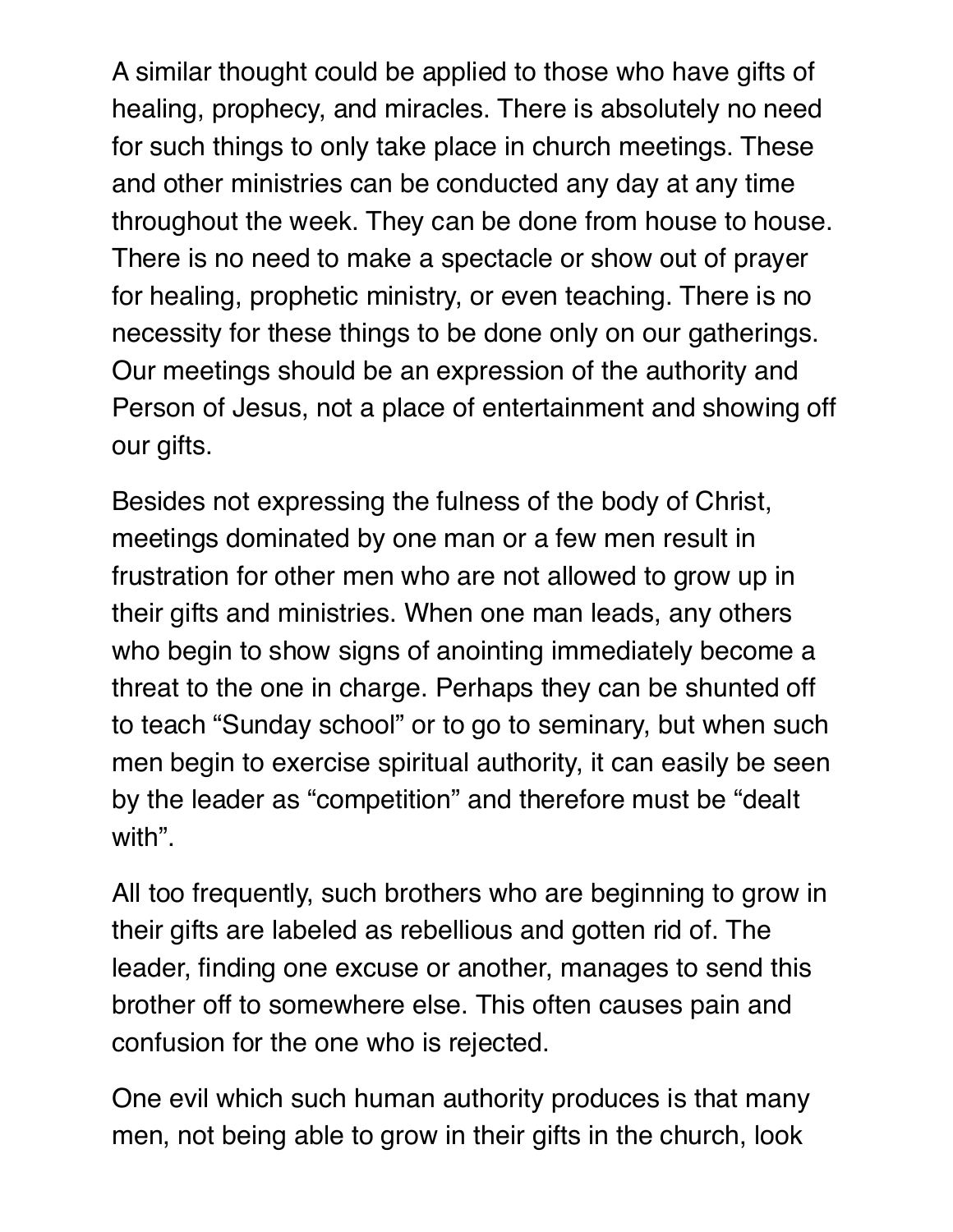A similar thought could be applied to those who have gifts of healing, prophecy, and miracles. There is absolutely no need for such things to only take place in church meetings. These and other ministries can be conducted any day at any time throughout the week. They can be done from house to house. There is no need to make a spectacle or show out of prayer for healing, prophetic ministry, or even teaching. There is no necessity for these things to be done only on our gatherings. Our meetings should be an expression of the authority and Person of Jesus, not a place of entertainment and showing off our gifts.

Besides not expressing the fulness of the body of Christ, meetings dominated by one man or a few men result in frustration for other men who are not allowed to grow up in their gifts and ministries. When one man leads, any others who begin to show signs of anointing immediately become a threat to the one in charge. Perhaps they can be shunted off to teach "Sunday school" or to go to seminary, but when such men begin to exercise spiritual authority, it can easily be seen by the leader as "competition" and therefore must be "dealt with".

All too frequently, such brothers who are beginning to grow in their gifts are labeled as rebellious and gotten rid of. The leader, finding one excuse or another, manages to send this brother off to somewhere else. This often causes pain and confusion for the one who is rejected.

One evil which such human authority produces is that many men, not being able to grow in their gifts in the church, look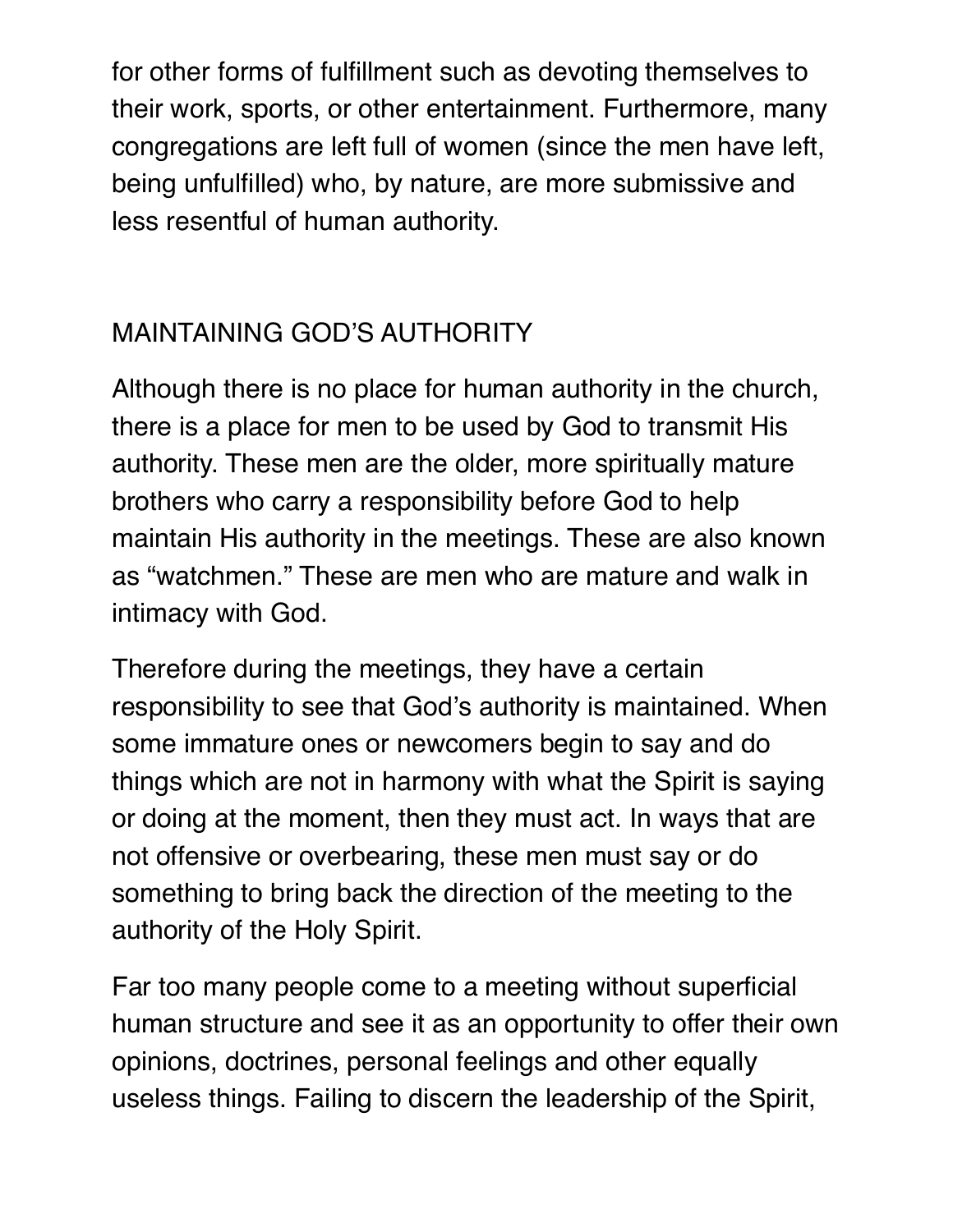for other forms of fulfillment such as devoting themselves to their work, sports, or other entertainment. Furthermore, many congregations are left full of women (since the men have left, being unfulfilled) who, by nature, are more submissive and less resentful of human authority.

# MAINTAINING GOD'S AUTHORITY

Although there is no place for human authority in the church, there is a place for men to be used by God to transmit His authority. These men are the older, more spiritually mature brothers who carry a responsibility before God to help maintain His authority in the meetings. These are also known as "watchmen." These are men who are mature and walk in intimacy with God.

Therefore during the meetings, they have a certain responsibility to see that God's authority is maintained. When some immature ones or newcomers begin to say and do things which are not in harmony with what the Spirit is saying or doing at the moment, then they must act. In ways that are not offensive or overbearing, these men must say or do something to bring back the direction of the meeting to the authority of the Holy Spirit.

Far too many people come to a meeting without superficial human structure and see it as an opportunity to offer their own opinions, doctrines, personal feelings and other equally useless things. Failing to discern the leadership of the Spirit,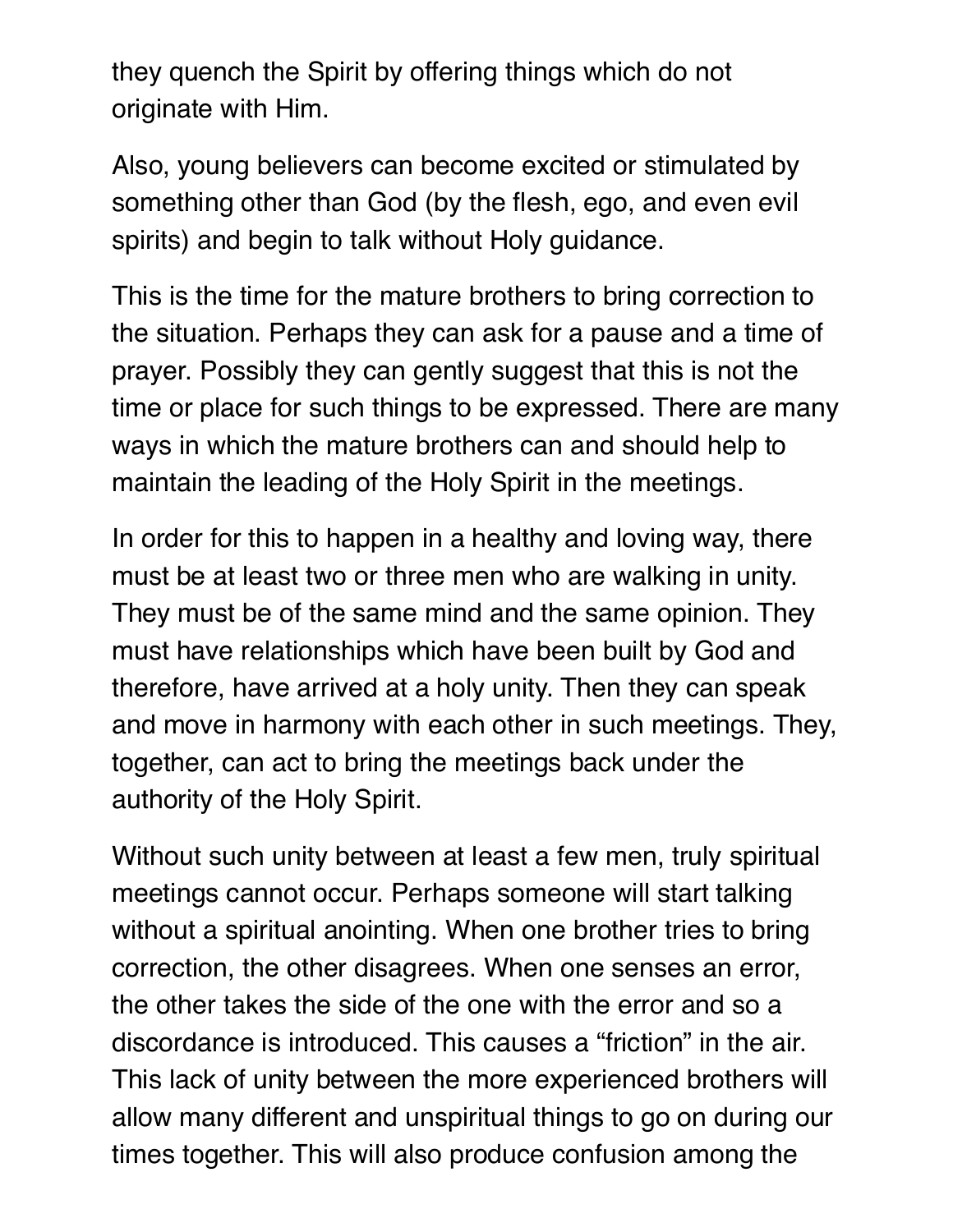they quench the Spirit by offering things which do not originate with Him.

Also, young believers can become excited or stimulated by something other than God (by the flesh, ego, and even evil spirits) and begin to talk without Holy guidance.

This is the time for the mature brothers to bring correction to the situation. Perhaps they can ask for a pause and a time of prayer. Possibly they can gently suggest that this is not the time or place for such things to be expressed. There are many ways in which the mature brothers can and should help to maintain the leading of the Holy Spirit in the meetings.

In order for this to happen in a healthy and loving way, there must be at least two or three men who are walking in unity. They must be of the same mind and the same opinion. They must have relationships which have been built by God and therefore, have arrived at a holy unity. Then they can speak and move in harmony with each other in such meetings. They, together, can act to bring the meetings back under the authority of the Holy Spirit.

Without such unity between at least a few men, truly spiritual meetings cannot occur. Perhaps someone will start talking without a spiritual anointing. When one brother tries to bring correction, the other disagrees. When one senses an error, the other takes the side of the one with the error and so a discordance is introduced. This causes a "friction" in the air. This lack of unity between the more experienced brothers will allow many different and unspiritual things to go on during our times together. This will also produce confusion among the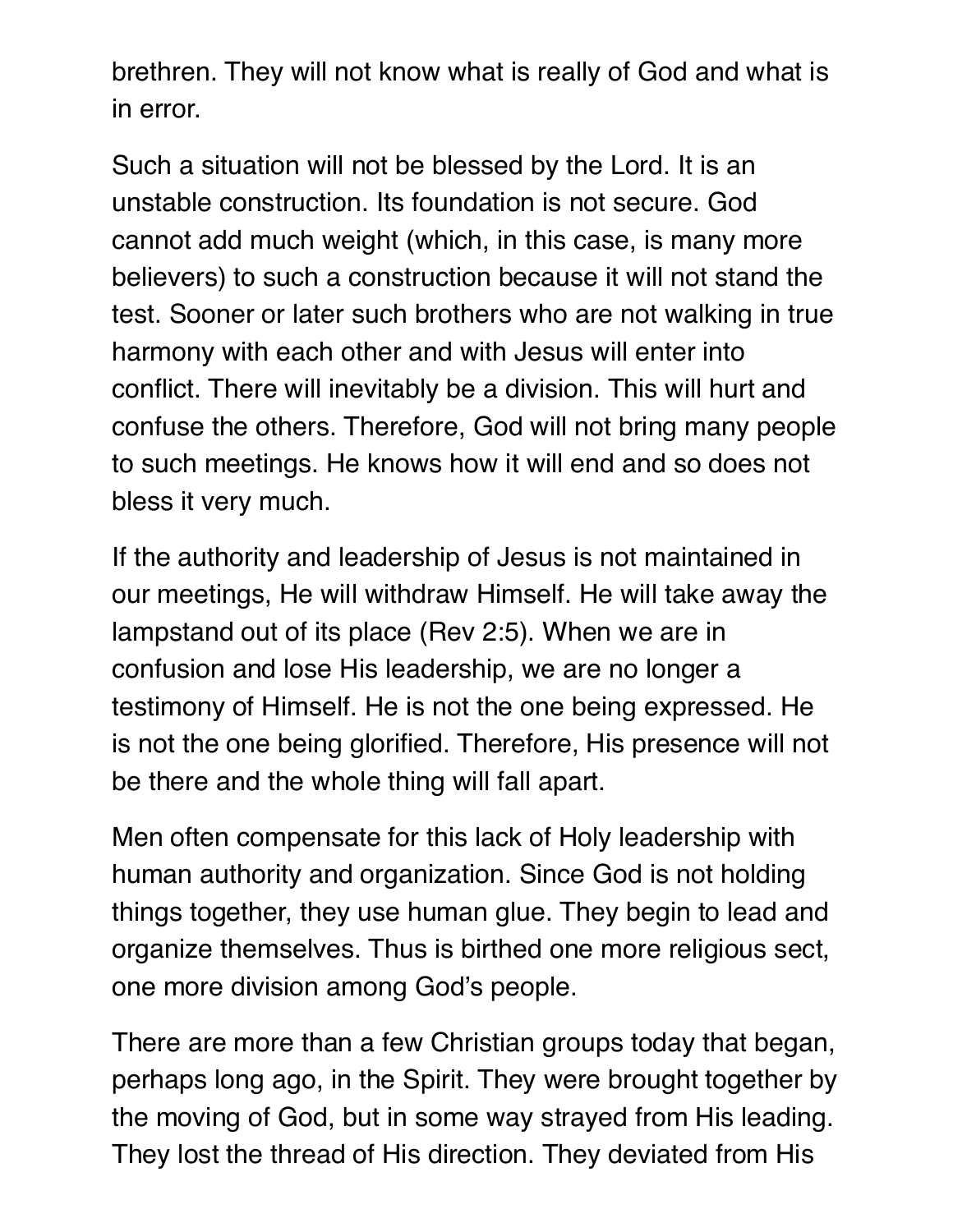brethren. They will not know what is really of God and what is in error.

Such a situation will not be blessed by the Lord. It is an unstable construction. Its foundation is not secure. God cannot add much weight (which, in this case, is many more believers) to such a construction because it will not stand the test. Sooner or later such brothers who are not walking in true harmony with each other and with Jesus will enter into conflict. There will inevitably be a division. This will hurt and confuse the others. Therefore, God will not bring many people to such meetings. He knows how it will end and so does not bless it very much.

If the authority and leadership of Jesus is not maintained in our meetings, He will withdraw Himself. He will take away the lampstand out of its place (Rev 2:5). When we are in confusion and lose His leadership, we are no longer a testimony of Himself. He is not the one being expressed. He is not the one being glorified. Therefore, His presence will not be there and the whole thing will fall apart.

Men often compensate for this lack of Holy leadership with human authority and organization. Since God is not holding things together, they use human glue. They begin to lead and organize themselves. Thus is birthed one more religious sect, one more division among God's people.

There are more than a few Christian groups today that began, perhaps long ago, in the Spirit. They were brought together by the moving of God, but in some way strayed from His leading. They lost the thread of His direction. They deviated from His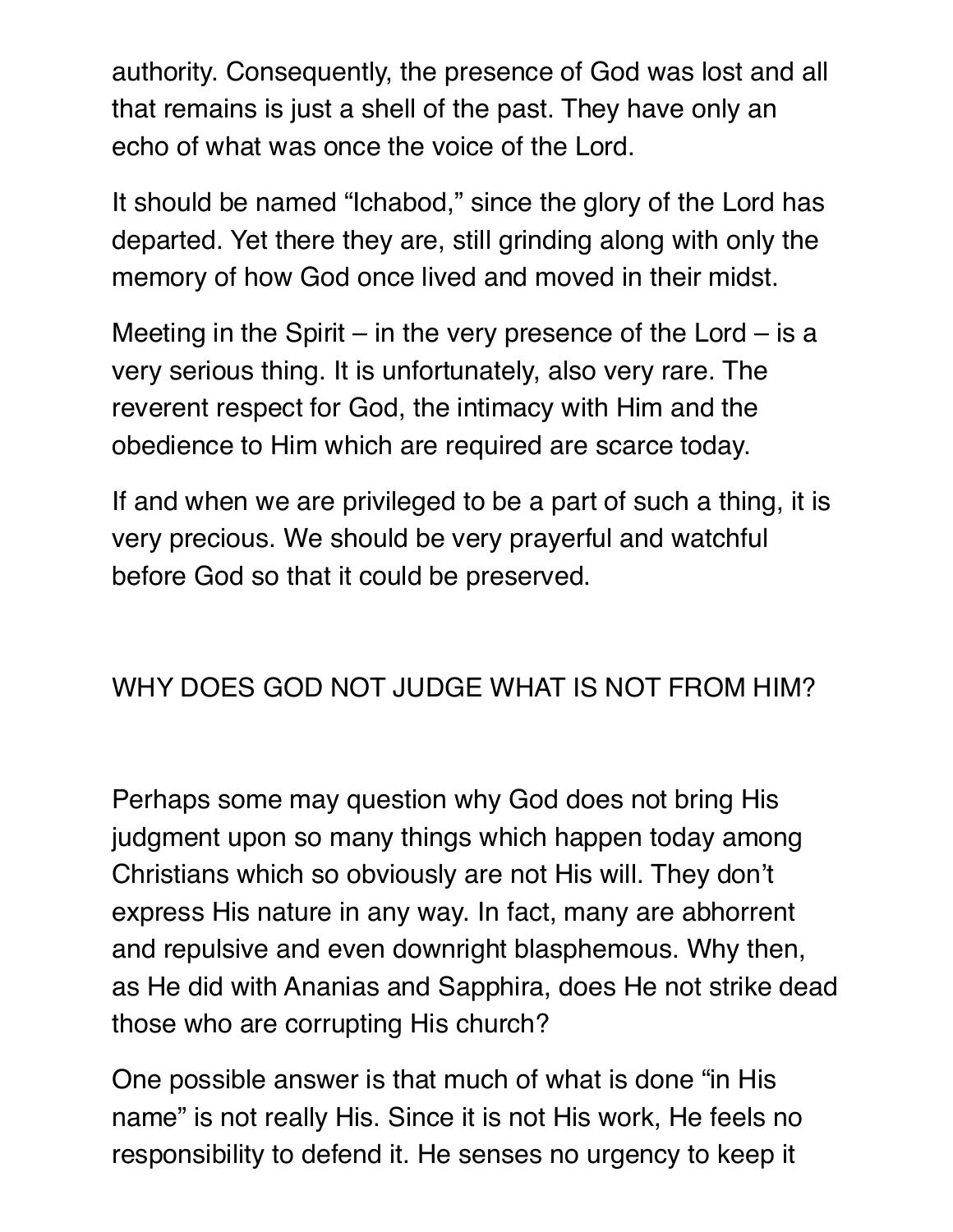authority. Consequently, the presence of God was lost and all that remains is just a shell of the past. They have only an echo of what was once the voice of the Lord.

It should be named "Ichabod," since the glory of the Lord has departed. Yet there they are, still grinding along with only the memory of how God once lived and moved in their midst.

Meeting in the Spirit – in the very presence of the Lord – is a very serious thing. It is unfortunately, also very rare. The reverent respect for God, the intimacy with Him and the obedience to Him which are required are scarce today.

If and when we are privileged to be a part of such a thing, it is very precious. We should be very prayerful and watchful before God so that it could be preserved.

# WHY DOES GOD NOT JUDGE WHAT IS NOT FROM HIM?

Perhaps some may question why God does not bring His judgment upon so many things which happen today among Christians which so obviously are not His will. They don't express His nature in any way. In fact, many are abhorrent and repulsive and even downright blasphemous. Why then, as He did with Ananias and Sapphira, does He not strike dead those who are corrupting His church?

One possible answer is that much of what is done "in His name" is not really His. Since it is not His work, He feels no responsibility to defend it. He senses no urgency to keep it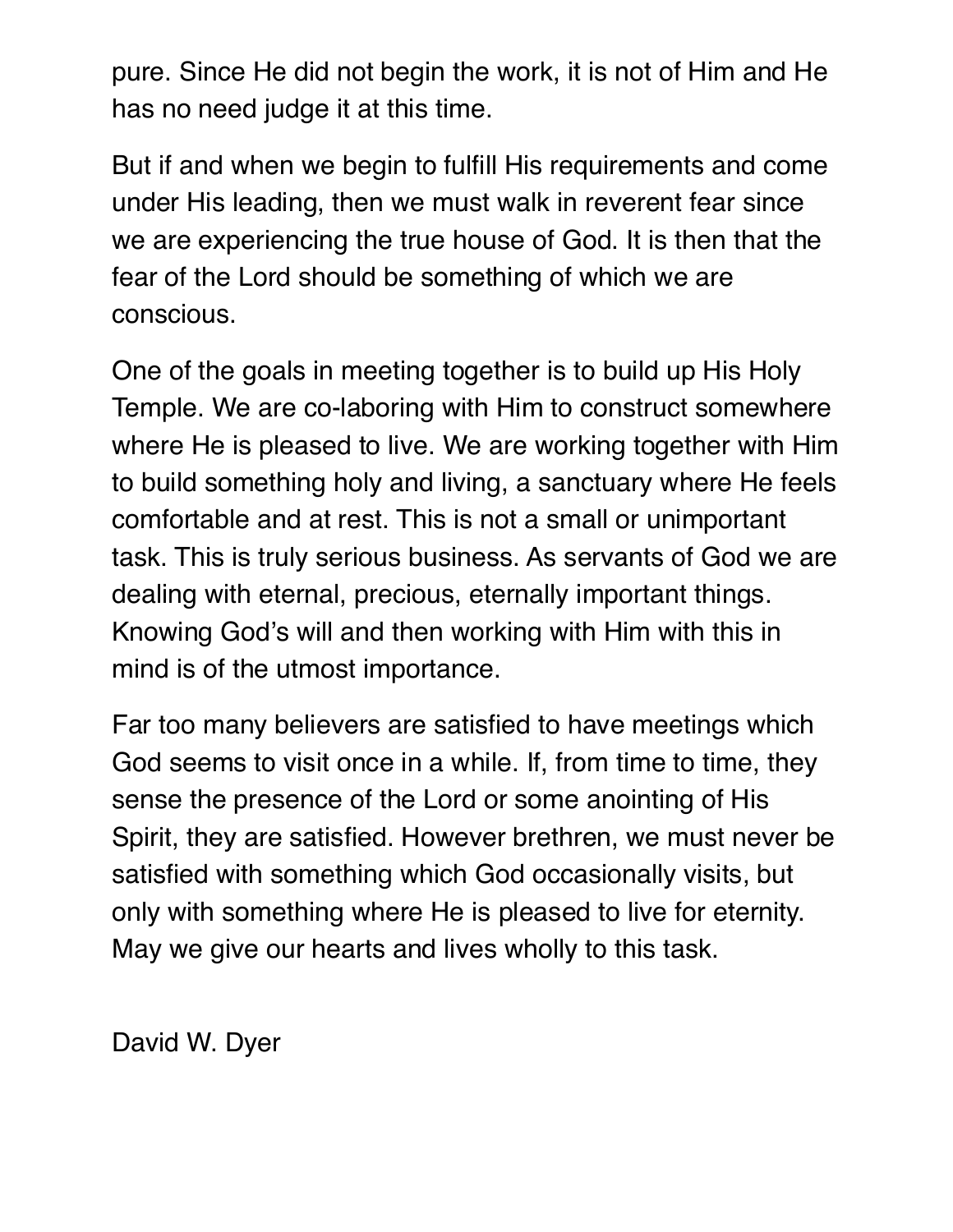pure. Since He did not begin the work, it is not of Him and He has no need judge it at this time.

But if and when we begin to fulfill His requirements and come under His leading, then we must walk in reverent fear since we are experiencing the true house of God. It is then that the fear of the Lord should be something of which we are conscious.

One of the goals in meeting together is to build up His Holy Temple. We are co-laboring with Him to construct somewhere where He is pleased to live. We are working together with Him to build something holy and living, a sanctuary where He feels comfortable and at rest. This is not a small or unimportant task. This is truly serious business. As servants of God we are dealing with eternal, precious, eternally important things. Knowing God's will and then working with Him with this in mind is of the utmost importance.

Far too many believers are satisfied to have meetings which God seems to visit once in a while. If, from time to time, they sense the presence of the Lord or some anointing of His Spirit, they are satisfied. However brethren, we must never be satisfied with something which God occasionally visits, but only with something where He is pleased to live for eternity. May we give our hearts and lives wholly to this task.

David W. Dyer